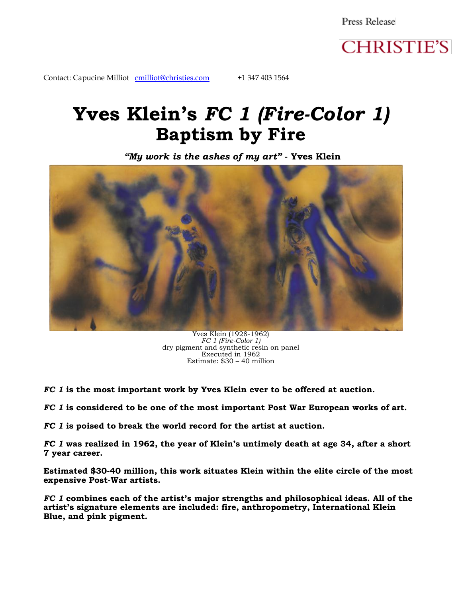Press Release



Contact: Capucine Milliot [cmilliot@christies.com](mailto:cmilliot@christies.com) +1 347 403 1564

# **Yves Klein's** *FC 1 (Fire-Color 1)* **Baptism by Fire**

*"My work is the ashes of my art"* **- Yves Klein**



Yves Klein (1928-1962) *FC 1 (Fire-Color 1)*  dry pigment and synthetic resin on panel Executed in 1962 Estimate: \$30 – 40 million

*FC 1* **is the most important work by Yves Klein ever to be offered at auction.**

*FC 1* **is considered to be one of the most important Post War European works of art.**

*FC 1* **is poised to break the world record for the artist at auction.**

*FC 1* **was realized in 1962, the year of Klein's untimely death at age 34, after a short 7 year career.**

**Estimated \$30-40 million, this work situates Klein within the elite circle of the most expensive Post-War artists.**

*FC 1* **combines each of the artist's major strengths and philosophical ideas. All of the artist's signature elements are included: fire, anthropometry, International Klein Blue, and pink pigment.**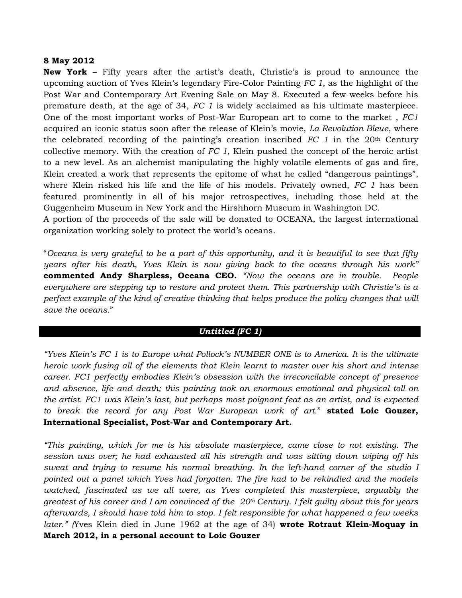#### **8 May 2012**

**New York –** Fifty years after the artist's death, Christie's is proud to announce the upcoming auction of Yves Klein's legendary Fire-Color Painting *FC 1,* as the highlight of the Post War and Contemporary Art Evening Sale on May 8. Executed a few weeks before his premature death, at the age of 34, *FC 1* is widely acclaimed as his ultimate masterpiece. One of the most important works of Post-War European art to come to the market , *FC1* acquired an iconic status soon after the release of Klein's movie, *La Revolution Bleue*, where the celebrated recording of the painting's creation inscribed *FC 1* in the 20th Century collective memory. With the creation of *FC 1*, Klein pushed the concept of the heroic artist to a new level. As an alchemist manipulating the highly volatile elements of gas and fire, Klein created a work that represents the epitome of what he called "dangerous paintings", where Klein risked his life and the life of his models. Privately owned, *FC 1* has been featured prominently in all of his major retrospectives, including those held at the Guggenheim Museum in New York and the Hirshhorn Museum in Washington DC.

A portion of the proceeds of the sale will be donated to OCEANA, the largest international organization working solely to protect the world's oceans.

"*Oceana is very grateful to be a part of this opportunity, and it is beautiful to see that fifty years after his death, Yves Klein is now giving back to the oceans through his work"*  **commented Andy Sharpless, Oceana CEO.** *"Now the oceans are in trouble. People everywhere are stepping up to restore and protect them. This partnership with Christie"s is a perfect example of the kind of creative thinking that helps produce the policy changes that will save the oceans.*"

## *Untitled (FC 1)*

*"Yves Klein"s FC 1 is to Europe what Pollock"s NUMBER ONE is to America. It is the ultimate heroic work fusing all of the elements that Klein learnt to master over his short and intense career. FC1 perfectly embodies Klein"s obsession with the irreconcilable concept of presence and absence, life and death; this painting took an enormous emotional and physical toll on the artist. FC1 was Klein"s last, but perhaps most poignant feat as an artist, and is expected to break the record for any Post War European work of art.*" **stated Loic Gouzer, International Specialist, Post-War and Contemporary Art.**

*"This painting, which for me is his absolute masterpiece, came close to not existing. The session was over; he had exhausted all his strength and was sitting down wiping off his sweat and trying to resume his normal breathing. In the left-hand corner of the studio I pointed out a panel which Yves had forgotten. The fire had to be rekindled and the models watched, fascinated as we all were, as Yves completed this masterpiece, arguably the greatest of his career and I am convinced of the 20th Century. I felt guilty about this for years afterwards, I should have told him to stop. I felt responsible for what happened a few weeks later." (*Yves Klein died in June 1962 at the age of 34) **wrote Rotraut Klein-Moquay in March 2012, in a personal account to Loic Gouzer**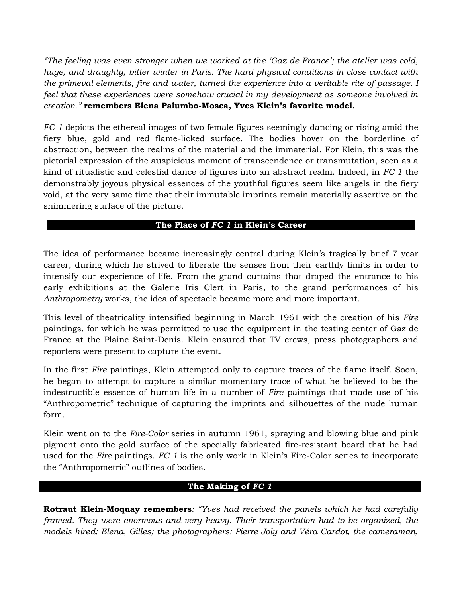*"The feeling was even stronger when we worked at the "Gaz de France"; the atelier was cold, huge, and draughty, bitter winter in Paris. The hard physical conditions in close contact with the primeval elements, fire and water, turned the experience into a veritable rite of passage. I feel that these experiences were somehow crucial in my development as someone involved in creation."* **remembers Elena Palumbo-Mosca, Yves Klein's favorite model.**

*FC 1* depicts the ethereal images of two female figures seemingly dancing or rising amid the fiery blue, gold and red flame-licked surface. The bodies hover on the borderline of abstraction, between the realms of the material and the immaterial. For Klein, this was the pictorial expression of the auspicious moment of transcendence or transmutation, seen as a kind of ritualistic and celestial dance of figures into an abstract realm. Indeed, in *FC 1* the demonstrably joyous physical essences of the youthful figures seem like angels in the fiery void, at the very same time that their immutable imprints remain materially assertive on the shimmering surface of the picture.

#### **The Place of** *FC 1* **in Klein's Career**

The idea of performance became increasingly central during Klein's tragically brief 7 year career, during which he strived to liberate the senses from their earthly limits in order to intensify our experience of life. From the grand curtains that draped the entrance to his early exhibitions at the Galerie Iris Clert in Paris, to the grand performances of his *Anthropometry* works, the idea of spectacle became more and more important.

This level of theatricality intensified beginning in March 1961 with the creation of his *Fire*  paintings, for which he was permitted to use the equipment in the testing center of Gaz de France at the Plaine Saint-Denis. Klein ensured that TV crews, press photographers and reporters were present to capture the event.

In the first *Fire* paintings, Klein attempted only to capture traces of the flame itself. Soon, he began to attempt to capture a similar momentary trace of what he believed to be the indestructible essence of human life in a number of *Fire* paintings that made use of his "Anthropometric" technique of capturing the imprints and silhouettes of the nude human form.

Klein went on to the *Fire-Color* series in autumn 1961, spraying and blowing blue and pink pigment onto the gold surface of the specially fabricated fire-resistant board that he had used for the *Fire* paintings. *FC 1* is the only work in Klein's Fire-Color series to incorporate the "Anthropometric" outlines of bodies.

## **The Making of** *FC 1*

**Rotraut Klein-Moquay remembers***: "Yves had received the panels which he had carefully framed. They were enormous and very heavy. Their transportation had to be organized, the models hired: Elena, Gilles; the photographers: Pierre Joly and Véra Cardot, the cameraman,*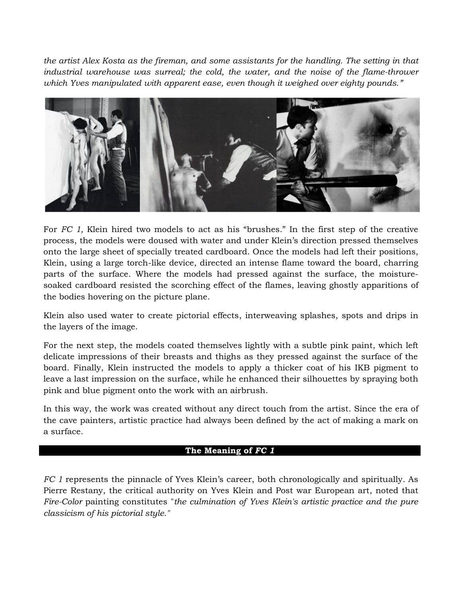*the artist Alex Kosta as the fireman, and some assistants for the handling. The setting in that industrial warehouse was surreal; the cold, the water, and the noise of the flame-thrower which Yves manipulated with apparent ease, even though it weighed over eighty pounds."* 



For *FC 1,* Klein hired two models to act as his "brushes." In the first step of the creative process, the models were doused with water and under Klein's direction pressed themselves onto the large sheet of specially treated cardboard. Once the models had left their positions, Klein, using a large torch-like device, directed an intense flame toward the board, charring parts of the surface. Where the models had pressed against the surface, the moisturesoaked cardboard resisted the scorching effect of the flames, leaving ghostly apparitions of the bodies hovering on the picture plane.

Klein also used water to create pictorial effects, interweaving splashes, spots and drips in the layers of the image.

For the next step, the models coated themselves lightly with a subtle pink paint, which left delicate impressions of their breasts and thighs as they pressed against the surface of the board. Finally, Klein instructed the models to apply a thicker coat of his IKB pigment to leave a last impression on the surface, while he enhanced their silhouettes by spraying both pink and blue pigment onto the work with an airbrush.

In this way, the work was created without any direct touch from the artist. Since the era of the cave painters, artistic practice had always been defined by the act of making a mark on a surface.

## **The Meaning of** *FC 1*

*FC 1* represents the pinnacle of Yves Klein's career, both chronologically and spiritually. As Pierre Restany, the critical authority on Yves Klein and Post war European art, noted that *Fire-Color* painting constitutes "*the culmination of Yves Klein's artistic practice and the pure classicism of his pictorial style."*